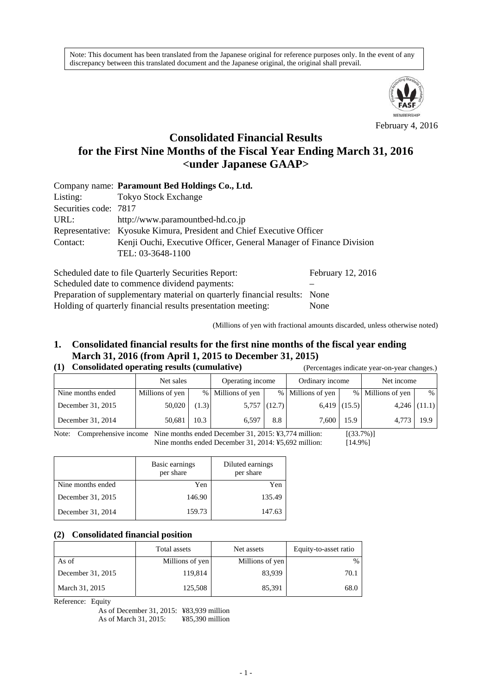Note: This document has been translated from the Japanese original for reference purposes only. In the event of any discrepancy between this translated document and the Japanese original, the original shall prevail.



February 4, 2016

# **Consolidated Financial Results for the First Nine Months of the Fiscal Year Ending March 31, 2016 <under Japanese GAAP>**

|                       | Company name: Paramount Bed Holdings Co., Ltd.                        |                            |
|-----------------------|-----------------------------------------------------------------------|----------------------------|
| Listing:              | <b>Tokyo Stock Exchange</b>                                           |                            |
| Securities code: 7817 |                                                                       |                            |
| URL:                  | http://www.paramountbed-hd.co.jp                                      |                            |
|                       | Representative: Kyosuke Kimura, President and Chief Executive Officer |                            |
| Contact:              | Kenji Ouchi, Executive Officer, General Manager of Finance Division   |                            |
|                       | TEL: 03-3648-1100                                                     |                            |
|                       | 0.1.111.1.111.11.01.0                                                 | $E_{\rm H}$ $\sim$ $10.01$ |

Scheduled date to file Quarterly Securities Report: February 12, 2016 Scheduled date to commence dividend payments: Preparation of supplementary material on quarterly financial results: None Holding of quarterly financial results presentation meeting: None

(Millions of yen with fractional amounts discarded, unless otherwise noted)

## **1. Consolidated financial results for the first nine months of the fiscal year ending March 31, 2016 (from April 1, 2015 to December 31, 2015)**

### **(1) Consolidated operating results (cumulative)** (Percentages indicate year-on-year changes.)

|                   |                 |       |                   | $\alpha$ creening to mental $\alpha$ and $\alpha$ and $\alpha$ eming to $\alpha$ |                   |                |                   |                |
|-------------------|-----------------|-------|-------------------|----------------------------------------------------------------------------------|-------------------|----------------|-------------------|----------------|
|                   | Net sales       |       | Operating income  |                                                                                  | Ordinary income   |                | Net income        |                |
| Nine months ended | Millions of yen |       | % Millions of yen |                                                                                  | % Millions of yen |                | % Millions of yen | %              |
| December 31, 2015 | 50,020          | (1.3) |                   | $5,757$ (12.7)                                                                   |                   | $6,419$ (15.5) |                   | $4,246$ (11.1) |
| December 31, 2014 | 50.681          | 10.3  | 6.597             | 8.8                                                                              | 7,600             | 15.9           | 4.773             | 19.9           |

Note: Comprehensive income Nine months ended December 31, 2015: ¥3,774 million: [(33.7%)] Nine months ended December 31, 2014:  $\frac{1}{2}$  S.692 million: [14.9%]

|                   | Basic earnings<br>per share | Diluted earnings<br>per share |  |
|-------------------|-----------------------------|-------------------------------|--|
| Nine months ended | Yen                         | Yen                           |  |
| December 31, 2015 | 146.90                      | 135.49                        |  |
| December 31, 2014 | 159.73                      | 147.63                        |  |

### **(2) Consolidated financial position**

|                   | Total assets    | Net assets      | Equity-to-asset ratio |
|-------------------|-----------------|-----------------|-----------------------|
| As of             | Millions of yen | Millions of yen | %                     |
| December 31, 2015 | 119,814         | 83,939          | 70.1                  |
| March 31, 2015    | 125,508         | 85,391          | 68.0                  |

Reference: Equity

As of December 31, 2015: ¥83,939 million As of March 31, 2015: ¥85,390 million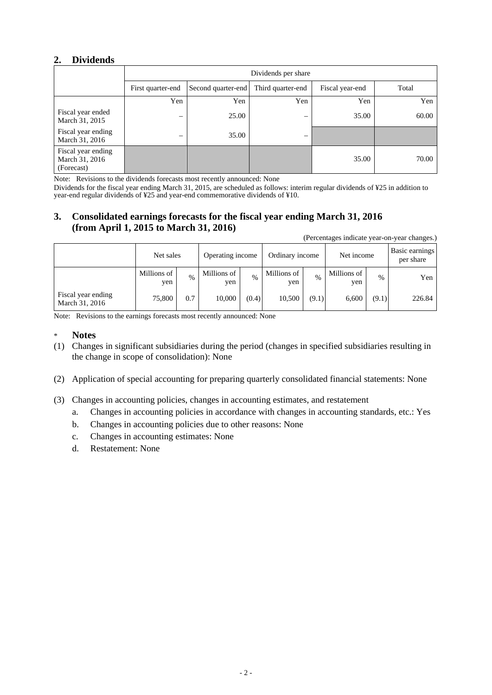### **2. Dividends**

|                                                    | Dividends per share      |                    |                   |                 |       |  |  |  |
|----------------------------------------------------|--------------------------|--------------------|-------------------|-----------------|-------|--|--|--|
|                                                    | First quarter-end        | Second quarter-end | Third quarter-end | Fiscal year-end | Total |  |  |  |
|                                                    | Yen                      | Yen                | Yen               | Yen             | Yen   |  |  |  |
| Fiscal year ended<br>March 31, 2015                | $\overline{\phantom{m}}$ | 25.00              | —                 | 35.00           | 60.00 |  |  |  |
| Fiscal year ending<br>March 31, 2016               | –                        | 35.00              | –                 |                 |       |  |  |  |
| Fiscal year ending<br>March 31, 2016<br>(Forecast) |                          |                    |                   | 35.00           | 70.00 |  |  |  |

Note: Revisions to the dividends forecasts most recently announced: None

Dividends for the fiscal year ending March 31, 2015, are scheduled as follows: interim regular dividends of ¥25 in addition to year-end regular dividends of ¥25 and year-end commemorative dividends of ¥10.

### **3. Consolidated earnings forecasts for the fiscal year ending March 31, 2016 (from April 1, 2015 to March 31, 2016)**

(Percentages indicate year-on-year changes.)

|                                      | Net sales          |      | Operating income   |       | Ordinary income    |       | Net income         |               | Basic earnings<br>per share |
|--------------------------------------|--------------------|------|--------------------|-------|--------------------|-------|--------------------|---------------|-----------------------------|
|                                      | Millions of<br>yen | $\%$ | Millions of<br>yen | $\%$  | Millions of<br>yen | $\%$  | Millions of<br>yen | $\frac{0}{0}$ | Yen                         |
| Fiscal year ending<br>March 31, 2016 | 75,800             | 0.7  | 10,000             | (0.4) | 10,500             | (9.1) | 6.600              | (9.1)         | 226.84                      |

Note: Revisions to the earnings forecasts most recently announced: None

- \* **Notes**
- (1) Changes in significant subsidiaries during the period (changes in specified subsidiaries resulting in the change in scope of consolidation): None
- (2) Application of special accounting for preparing quarterly consolidated financial statements: None
- (3) Changes in accounting policies, changes in accounting estimates, and restatement
	- a. Changes in accounting policies in accordance with changes in accounting standards, etc.: Yes
	- b. Changes in accounting policies due to other reasons: None
	- c. Changes in accounting estimates: None
	- d. Restatement: None